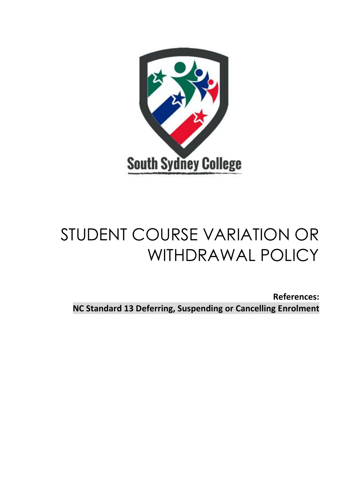

# STUDENT COURSE VARIATION OR WITHDRAWAL POLICY

**References: NC Standard 13 Deferring, Suspending or Cancelling Enrolment**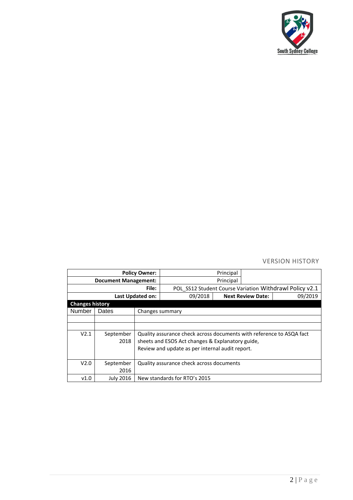

# VERSION HISTORY

| <b>Policy Owner:</b>        |                  |                                                                      |                                                         | Principal                |  |         |
|-----------------------------|------------------|----------------------------------------------------------------------|---------------------------------------------------------|--------------------------|--|---------|
| <b>Document Management:</b> |                  |                                                                      |                                                         | Principal                |  |         |
| File:                       |                  |                                                                      | POL SS12 Student Course Variation Withdrawl Policy v2.1 |                          |  |         |
| Last Updated on:            |                  |                                                                      | 09/2018                                                 | <b>Next Review Date:</b> |  | 09/2019 |
| <b>Changes history</b>      |                  |                                                                      |                                                         |                          |  |         |
| <b>Number</b>               | Dates            |                                                                      | Changes summary                                         |                          |  |         |
|                             |                  |                                                                      |                                                         |                          |  |         |
|                             |                  |                                                                      |                                                         |                          |  |         |
| V2.1                        | September        | Quality assurance check across documents with reference to ASQA fact |                                                         |                          |  |         |
|                             | 2018             | sheets and ESOS Act changes & Explanatory guide,                     |                                                         |                          |  |         |
|                             |                  | Review and update as per internal audit report.                      |                                                         |                          |  |         |
|                             |                  |                                                                      |                                                         |                          |  |         |
| V2.0                        | September        | Quality assurance check across documents                             |                                                         |                          |  |         |
|                             | 2016             |                                                                      |                                                         |                          |  |         |
| v1.0                        | <b>July 2016</b> |                                                                      | New standards for RTO's 2015                            |                          |  |         |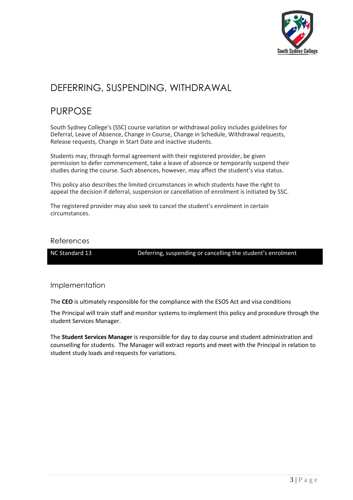

# DEFERRING, SUSPENDING, WITHDRAWAL

# PURPOSE

South Sydney College's (SSC) course variation or withdrawal policy includes guidelines for Deferral, Leave of Absence, Change in Course, Change in Schedule, Withdrawal requests, Release requests, Change in Start Date and inactive students.

Students may, through formal agreement with their registered provider, be given permission to defer commencement, take a leave of absence or temporarily suspend their studies during the course. Such absences, however, may affect the student's visa status.

This policy also describes the limited circumstances in which students have the right to appeal the decision if deferral, suspension or cancellation of enrolment is initiated by SSC.

The registered provider may also seek to cancel the student's enrolment in certain circumstances.

## References

NC Standard 13 Deferring, suspending or cancelling the student's enrolment

# Implementation

The **CEO** is ultimately responsible for the compliance with the ESOS Act and visa conditions

The Principal will train staff and monitor systems to implement this policy and procedure through the student Services Manager.

The **Student Services Manager** is responsible for day to day course and student administration and counselling for students. The Manager will extract reports and meet with the Principal in relation to student study loads and requests for variations.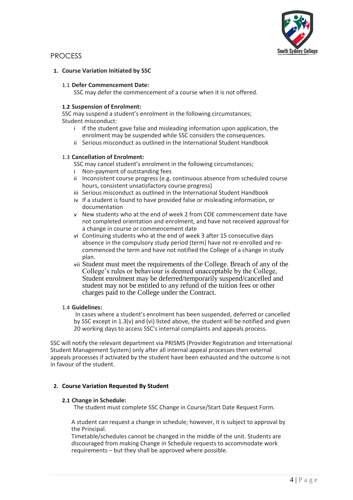

# PROCESS

#### **1. Course Variation Initiated by SSC**

#### 1.1 **Defer Commencement Date:**

SSC may defer the commencement of a course when it is not offered.

#### **1.2 Suspension of Enrolment:**

SSC may suspend a student's enrolment in the following circumstances; Student misconduct:

- i If the student gave false and misleading information upon application, the enrolment may be suspended while SSC considers the consequences.
- ii Serious misconduct as outlined in the International Student Handbook

#### 1.3 **Cancellation of Enrolment:**

- SSC may cancel student's enrolment in the following circumstances;
- i Non-payment of outstanding fees
- ii Inconsistent course progress (e.g. continuous absence from scheduled course hours, consistent unsatisfactory course progress)
- iii Serious misconduct as outlined in the International Student Handbook
- iv If a student is found to have provided false or misleading information, or documentation
- v New students who at the end of week 2 from COE commencement date have not completed orientation and enrolment, and have not received approval for a change in course or commencement date
- vi Continuing students who at the end of week 3 after 15 consecutive days absence in the compulsory study period (term) have not re-enrolled and recommenced the term and have not notified the College of a change in study plan.
- vii Student must meet the requirements of the College. Breach of any of the College's rules or behaviour is deemed unacceptable by the College, Student enrolment may be deferred/temporarily suspend/cancelled and student may not be entitled to any refund of the tuition fees or other charges paid to the College under the Contract.

#### 1.4 **Guidelines:**

In cases where a student's enrolment has been suspended, deferred or cancelled by SSC except in 1.3(v) and (vi) listed above, the student will be notified and given 20 working days to access SSC's internal complaints and appeals process.

SSC will notify the relevant department via PRISMS (Provider Registration and International Student Management System) only after all internal appeal processes then external appeals processes if activated by the student have been exhausted and the outcome is not in favour of the student.

#### **2. Course Variation Requested By Student**

#### **2.1 Change in Schedule:**

The student must complete SSC Change in Course/Start Date Request Form.

A student can request a change in schedule; however, it is subject to approval by the Principal.

Timetable/schedules cannot be changed in the middle of the unit. Students are discouraged from making Change in Schedule requests to accommodate work requirements – but they shall be approved where possible.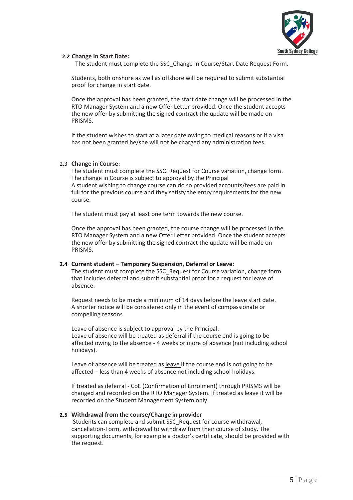

#### **2.2 Change in Start Date:**

The student must complete the SSC\_Change in Course/Start Date Request Form.

Students, both onshore as well as offshore will be required to submit substantial proof for change in start date.

Once the approval has been granted, the start date change will be processed in the RTO Manager System and a new Offer Letter provided. Once the student accepts the new offer by submitting the signed contract the update will be made on PRISMS.

If the student wishes to start at a later date owing to medical reasons or if a visa has not been granted he/she will not be charged any administration fees.

#### 2.3 **Change in Course:**

The student must complete the SSC\_Request for Course variation, change form. The change in Course is subject to approval by the Principal A student wishing to change course can do so provided accounts/fees are paid in full for the previous course and they satisfy the entry requirements for the new course.

The student must pay at least one term towards the new course.

Once the approval has been granted, the course change will be processed in the RTO Manager System and a new Offer Letter provided. Once the student accepts the new offer by submitting the signed contract the update will be made on PRISMS.

#### **2.4 Current student – Temporary Suspension, Deferral or Leave:**

The student must complete the SSC\_Request for Course variation, change form that includes deferral and submit substantial proof for a request for leave of absence.

Request needs to be made a minimum of 14 days before the leave start date. A shorter notice will be considered only in the event of compassionate or compelling reasons.

Leave of absence is subject to approval by the Principal. Leave of absence will be treated as deferral if the course end is going to be affected owing to the absence - 4 weeks or more of absence (not including school holidays).

Leave of absence will be treated as leave if the course end is not going to be affected – less than 4 weeks of absence not including school holidays.

If treated as deferral - CoE (Confirmation of Enrolment) through PRISMS will be changed and recorded on the RTO Manager System. If treated as leave it will be recorded on the Student Management System only.

#### **2.5 Withdrawal from the course/Change in provider**

Students can complete and submit SSC\_Request for course withdrawal, cancellation-Form, withdrawal to withdraw from their course of study. The supporting documents, for example a doctor's certificate, should be provided with the request.